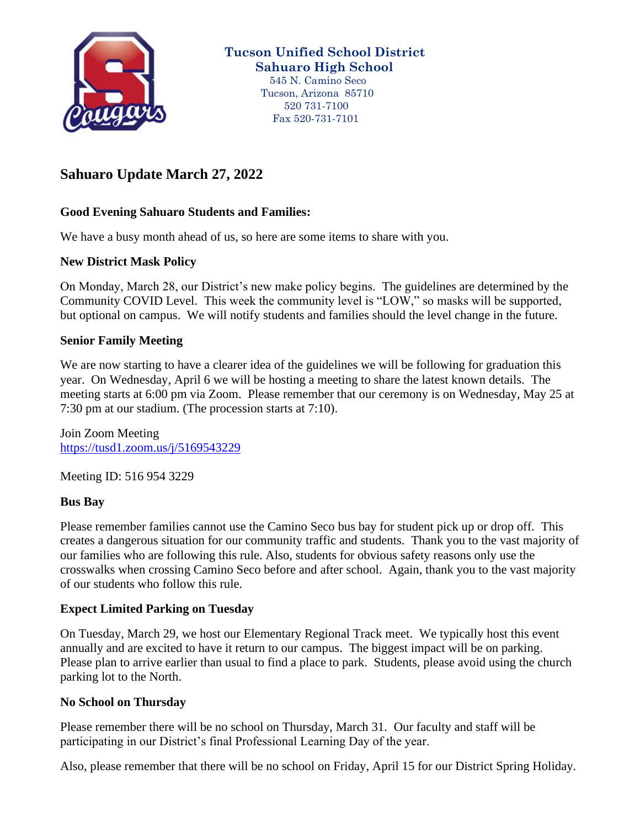

**Tucson Unified School District Sahuaro High School**

 545 N. Camino Seco Tucson, Arizona 85710 520 731-7100 Fax 520-731-7101

# **Sahuaro Update March 27, 2022**

### **Good Evening Sahuaro Students and Families:**

We have a busy month ahead of us, so here are some items to share with you.

#### **New District Mask Policy**

On Monday, March 28, our District's new make policy begins. The guidelines are determined by the Community COVID Level. This week the community level is "LOW," so masks will be supported, but optional on campus. We will notify students and families should the level change in the future.

#### **Senior Family Meeting**

We are now starting to have a clearer idea of the guidelines we will be following for graduation this year. On Wednesday, April 6 we will be hosting a meeting to share the latest known details. The meeting starts at 6:00 pm via Zoom. Please remember that our ceremony is on Wednesday, May 25 at 7:30 pm at our stadium. (The procession starts at 7:10).

Join Zoom Meeting <https://tusd1.zoom.us/j/5169543229>

Meeting ID: 516 954 3229

#### **Bus Bay**

Please remember families cannot use the Camino Seco bus bay for student pick up or drop off. This creates a dangerous situation for our community traffic and students. Thank you to the vast majority of our families who are following this rule. Also, students for obvious safety reasons only use the crosswalks when crossing Camino Seco before and after school. Again, thank you to the vast majority of our students who follow this rule.

#### **Expect Limited Parking on Tuesday**

On Tuesday, March 29, we host our Elementary Regional Track meet. We typically host this event annually and are excited to have it return to our campus. The biggest impact will be on parking. Please plan to arrive earlier than usual to find a place to park. Students, please avoid using the church parking lot to the North.

#### **No School on Thursday**

Please remember there will be no school on Thursday, March 31. Our faculty and staff will be participating in our District's final Professional Learning Day of the year.

Also, please remember that there will be no school on Friday, April 15 for our District Spring Holiday.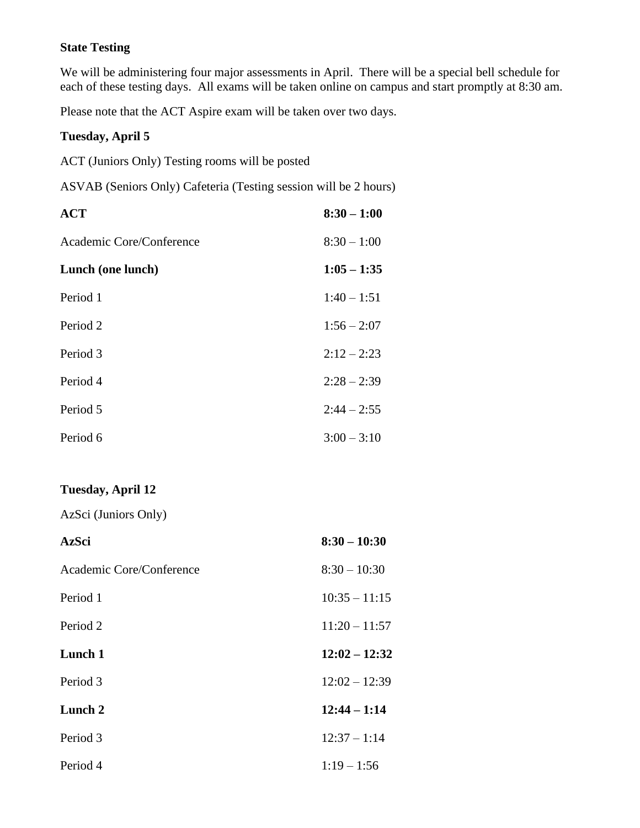## **State Testing**

We will be administering four major assessments in April. There will be a special bell schedule for each of these testing days. All exams will be taken online on campus and start promptly at 8:30 am.

Please note that the ACT Aspire exam will be taken over two days.

#### **Tuesday, April 5**

ACT (Juniors Only) Testing rooms will be posted

ASVAB (Seniors Only) Cafeteria (Testing session will be 2 hours)

| <b>ACT</b>               | $8:30 - 1:00$ |
|--------------------------|---------------|
| Academic Core/Conference | $8:30 - 1:00$ |
| Lunch (one lunch)        | $1:05 - 1:35$ |
| Period 1                 | $1:40 - 1:51$ |
| Period 2                 | $1:56 - 2:07$ |
| Period 3                 | $2:12 - 2:23$ |
| Period 4                 | $2:28 - 2:39$ |
| Period 5                 | $2:44 - 2:55$ |
| Period 6                 | $3:00 - 3:10$ |

### **Tuesday, April 12**

AzSci (Juniors Only)

| <b>AzSci</b>             | $8:30 - 10:30$  |
|--------------------------|-----------------|
| Academic Core/Conference | $8:30 - 10:30$  |
| Period 1                 | $10:35 - 11:15$ |
| Period 2                 | $11:20 - 11:57$ |
| Lunch 1                  | $12:02 - 12:32$ |
| Period 3                 | $12:02 - 12:39$ |
| Lunch 2                  | $12:44 - 1:14$  |
| Period 3                 | $12:37 - 1:14$  |
| Period 4                 | $1:19 - 1:56$   |